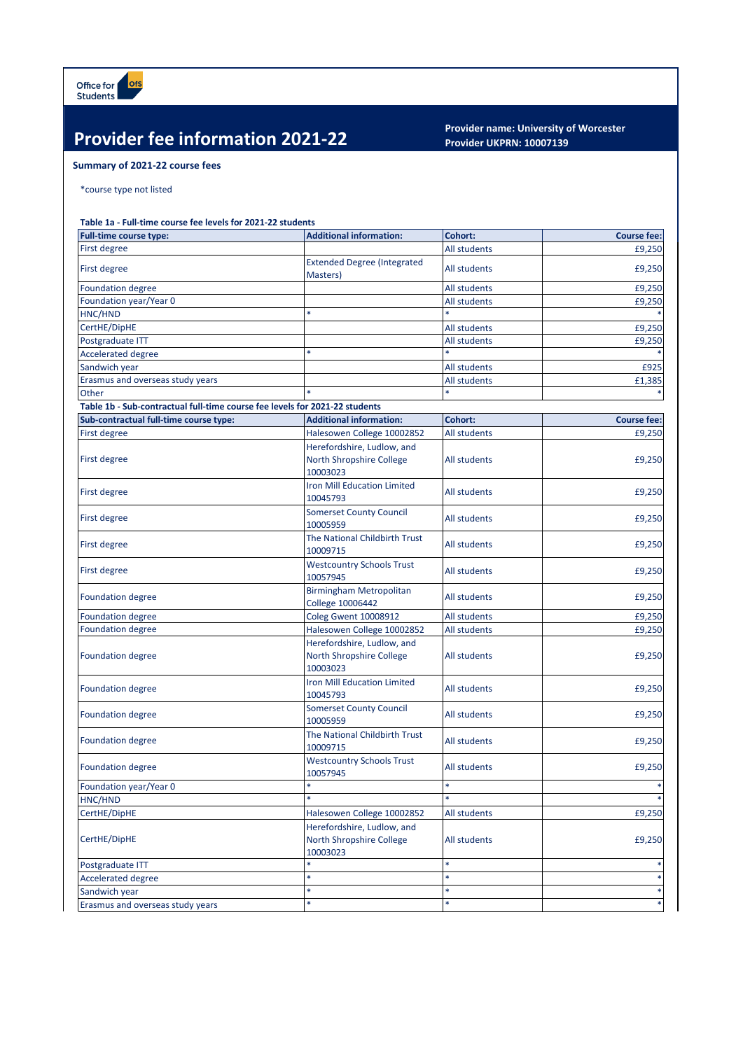## **Provider fee information 2021-22 Provider name: University of Worcester**

## **Provider UKPRN: 10007139**

## **Summary of 2021-22 course fees**

\*course type not listed

## **Table 1a - Full-time course fee levels for 2021-22 students**

| Full-time course type:                                                      | <b>Additional information:</b>                                     | Cohort:             | <b>Course fee:</b> |
|-----------------------------------------------------------------------------|--------------------------------------------------------------------|---------------------|--------------------|
| <b>First degree</b>                                                         |                                                                    | All students        | £9,250             |
| First degree                                                                | <b>Extended Degree (Integrated</b><br>Masters)                     | All students        | £9,250             |
| <b>Foundation degree</b>                                                    |                                                                    | <b>All students</b> | £9,250             |
| Foundation year/Year 0                                                      |                                                                    | All students        | £9,250             |
| HNC/HND                                                                     |                                                                    |                     |                    |
| CertHE/DipHE                                                                |                                                                    | All students        | £9,250             |
| Postgraduate ITT                                                            |                                                                    | All students        | £9,250             |
| <b>Accelerated degree</b>                                                   | ×                                                                  |                     |                    |
| Sandwich year                                                               |                                                                    | All students        | £925               |
| Erasmus and overseas study years                                            |                                                                    | All students        | £1,385             |
| Other                                                                       |                                                                    |                     |                    |
| Table 1b - Sub-contractual full-time course fee levels for 2021-22 students |                                                                    |                     |                    |
| Sub-contractual full-time course type:                                      | <b>Additional information:</b>                                     | Cohort:             | <b>Course fee:</b> |
| First degree                                                                | Halesowen College 10002852                                         | All students        | £9,250             |
| First degree                                                                | Herefordshire, Ludlow, and<br>North Shropshire College<br>10003023 | All students        | £9,250             |
| First degree                                                                | <b>Iron Mill Education Limited</b><br>10045793                     | All students        | £9,250             |
| First degree                                                                | <b>Somerset County Council</b><br>10005959                         | All students        | £9,250             |
| First degree                                                                | The National Childbirth Trust<br>10009715                          | All students        | £9,250             |
| First degree                                                                | <b>Westcountry Schools Trust</b><br>10057945                       | All students        | £9,250             |
| <b>Foundation degree</b>                                                    | <b>Birmingham Metropolitan</b><br><b>College 10006442</b>          | All students        | £9,250             |
| <b>Foundation degree</b>                                                    | <b>Coleg Gwent 10008912</b>                                        | All students        | £9,250             |
| <b>Foundation degree</b>                                                    | Halesowen College 10002852                                         | All students        | £9,250             |
| <b>Foundation degree</b>                                                    | Herefordshire, Ludlow, and<br>North Shropshire College<br>10003023 | All students        | £9,250             |
| <b>Foundation degree</b>                                                    | Iron Mill Education Limited<br>10045793                            | All students        | £9,250             |
| <b>Foundation degree</b>                                                    | <b>Somerset County Council</b><br>10005959                         | All students        | £9,250             |
| <b>Foundation degree</b>                                                    | The National Childbirth Trust<br>10009715                          | All students        | £9,250             |
| <b>Foundation degree</b>                                                    | <b>Westcountry Schools Trust</b><br>10057945                       | All students        | £9,250             |
| Foundation year/Year 0                                                      | *                                                                  | $\ast$              |                    |
| HNC/HND                                                                     | ¥                                                                  | $\ast$              |                    |
| CertHE/DipHE                                                                | Halesowen College 10002852                                         | All students        | £9,250             |
| CertHE/DipHE                                                                | Herefordshire, Ludlow, and<br>North Shropshire College<br>10003023 | All students        | £9,250             |
| Postgraduate ITT                                                            | *                                                                  | ×                   |                    |
| Accelerated degree                                                          | $\ast$                                                             |                     |                    |
| Sandwich year                                                               | $\ast$                                                             | $\ast$              |                    |
| Erasmus and overseas study years                                            |                                                                    |                     |                    |